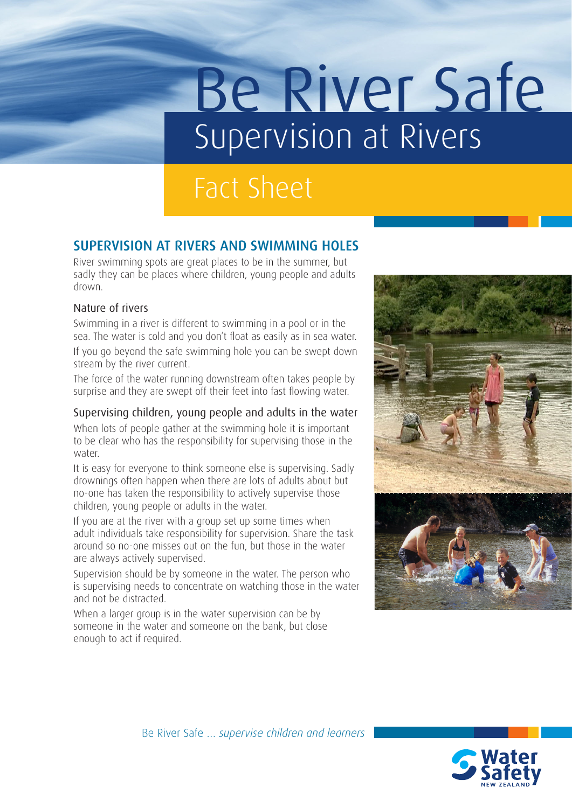# Be River Safe Supervision at Rivers

## Fact Sheet

### SUPERVISION AT RIVERS AND SWIMMING HOLES

River swimming spots are great places to be in the summer, but sadly they can be places where children, young people and adults drown.

#### Nature of rivers

Swimming in a river is different to swimming in a pool or in the sea. The water is cold and you don't float as easily as in sea water.

If you go beyond the safe swimming hole you can be swept down stream by the river current.

The force of the water running downstream often takes people by surprise and they are swept off their feet into fast flowing water.

#### Supervising children, young people and adults in the water

When lots of people gather at the swimming hole it is important to be clear who has the responsibility for supervising those in the water.

It is easy for everyone to think someone else is supervising. Sadly drownings often happen when there are lots of adults about but no-one has taken the responsibility to actively supervise those children, young people or adults in the water.

If you are at the river with a group set up some times when adult individuals take responsibility for supervision. Share the task around so no-one misses out on the fun, but those in the water are always actively supervised.

Supervision should be by someone in the water. The person who is supervising needs to concentrate on watching those in the water and not be distracted.

When a larger group is in the water supervision can be by someone in the water and someone on the bank, but close enough to act if required.



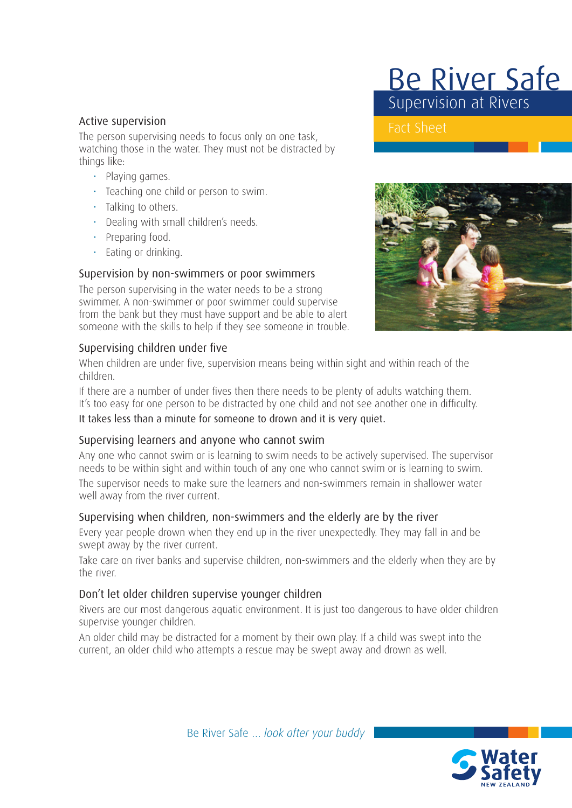#### Active supervision

The person supervising needs to focus only on one task, watching those in the water. They must not be distracted by things like:

- Playing games.
- Teaching one child or person to swim.
- Talking to others.
- Dealing with small children's needs.
- Preparing food.
- Eating or drinking.

#### Supervision by non-swimmers or poor swimmers

The person supervising in the water needs to be a strong swimmer. A non-swimmer or poor swimmer could supervise from the bank but they must have support and be able to alert someone with the skills to help if they see someone in trouble.

#### Supervising children under five

When children are under five, supervision means being within sight and within reach of the children.

If there are a number of under fives then there needs to be plenty of adults watching them. It's too easy for one person to be distracted by one child and not see another one in difficulty.

It takes less than a minute for someone to drown and it is very quiet.

#### Supervising learners and anyone who cannot swim

Any one who cannot swim or is learning to swim needs to be actively supervised. The supervisor needs to be within sight and within touch of any one who cannot swim or is learning to swim. The supervisor needs to make sure the learners and non-swimmers remain in shallower water well away from the river current.

#### Supervising when children, non-swimmers and the elderly are by the river

Every year people drown when they end up in the river unexpectedly. They may fall in and be swept away by the river current.

Take care on river banks and supervise children, non-swimmers and the elderly when they are by the river.

#### Don't let older children supervise younger children

Rivers are our most dangerous aquatic environment. It is just too dangerous to have older children supervise younger children.

An older child may be distracted for a moment by their own play. If a child was swept into the current, an older child who attempts a rescue may be swept away and drown as well.



Be River Safe Supervision at Rivers